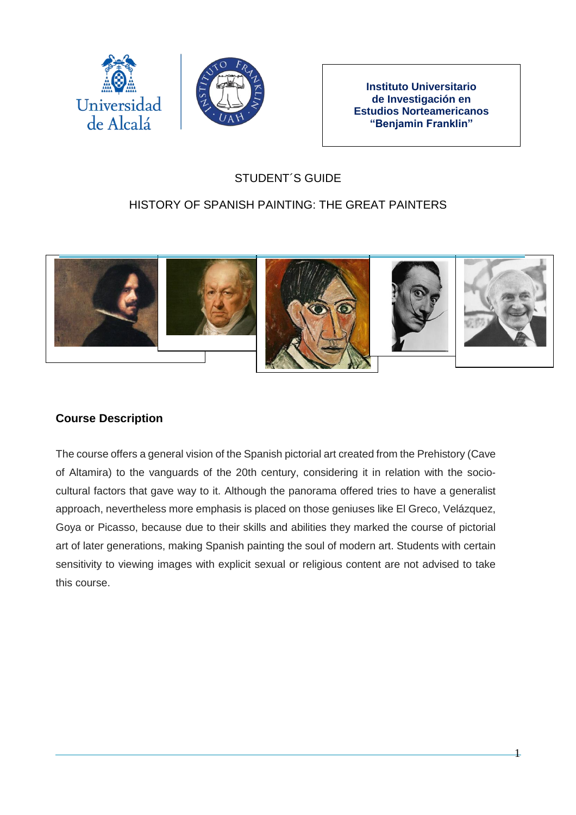



## STUDENT´S GUIDE

## HISTORY OF SPANISH PAINTING: THE GREAT PAINTERS



## **Course Description**

The course offers a general vision of the Spanish pictorial art created from the Prehistory (Cave of Altamira) to the vanguards of the 20th century, considering it in relation with the sociocultural factors that gave way to it. Although the panorama offered tries to have a generalist approach, nevertheless more emphasis is placed on those geniuses like El Greco, Velázquez, Goya or Picasso, because due to their skills and abilities they marked the course of pictorial art of later generations, making Spanish painting the soul of modern art. Students with certain sensitivity to viewing images with explicit sexual or religious content are not advised to take this course.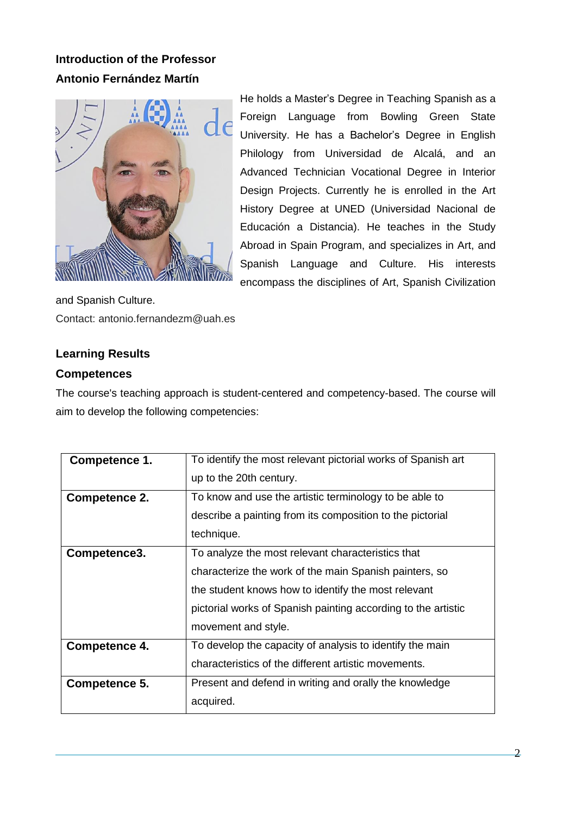# **Introduction of the Professor Antonio Fernández Martín**



He holds a Master's Degree in Teaching Spanish as a Foreign Language from Bowling Green State University. He has a Bachelor's Degree in English Philology from Universidad de Alcalá, and an Advanced Technician Vocational Degree in Interior Design Projects. Currently he is enrolled in the Art History Degree at UNED (Universidad Nacional de Educación a Distancia). He teaches in the Study Abroad in Spain Program, and specializes in Art, and Spanish Language and Culture. His interests encompass the disciplines of Art, Spanish Civilization

and Spanish Culture. Contact: [antonio.fernandezm@uah.es](mailto:antonio.fernandezm@uah.es)

## **Learning Results**

#### **Competences**

The course's teaching approach is student-centered and competency-based. The course will aim to develop the following competencies:

| Competence 1. | To identify the most relevant pictorial works of Spanish art<br>up to the 20th century.                                                                                                                                                                    |
|---------------|------------------------------------------------------------------------------------------------------------------------------------------------------------------------------------------------------------------------------------------------------------|
| Competence 2. | To know and use the artistic terminology to be able to<br>describe a painting from its composition to the pictorial<br>technique.                                                                                                                          |
| Competence3.  | To analyze the most relevant characteristics that<br>characterize the work of the main Spanish painters, so<br>the student knows how to identify the most relevant<br>pictorial works of Spanish painting according to the artistic<br>movement and style. |
| Competence 4. | To develop the capacity of analysis to identify the main<br>characteristics of the different artistic movements.                                                                                                                                           |
| Competence 5. | Present and defend in writing and orally the knowledge<br>acquired.                                                                                                                                                                                        |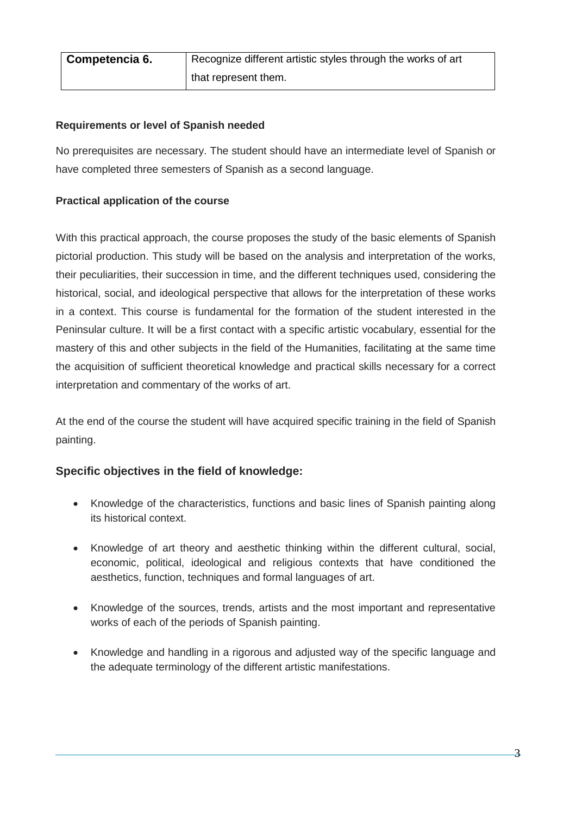#### **Requirements or level of Spanish needed**

No prerequisites are necessary. The student should have an intermediate level of Spanish or have completed three semesters of Spanish as a second language.

#### **Practical application of the course**

With this practical approach, the course proposes the study of the basic elements of Spanish pictorial production. This study will be based on the analysis and interpretation of the works, their peculiarities, their succession in time, and the different techniques used, considering the historical, social, and ideological perspective that allows for the interpretation of these works in a context. This course is fundamental for the formation of the student interested in the Peninsular culture. It will be a first contact with a specific artistic vocabulary, essential for the mastery of this and other subjects in the field of the Humanities, facilitating at the same time the acquisition of sufficient theoretical knowledge and practical skills necessary for a correct interpretation and commentary of the works of art.

At the end of the course the student will have acquired specific training in the field of Spanish painting.

## **Specific objectives in the field of knowledge:**

- Knowledge of the characteristics, functions and basic lines of Spanish painting along its historical context.
- Knowledge of art theory and aesthetic thinking within the different cultural, social, economic, political, ideological and religious contexts that have conditioned the aesthetics, function, techniques and formal languages of art.
- Knowledge of the sources, trends, artists and the most important and representative works of each of the periods of Spanish painting.
- Knowledge and handling in a rigorous and adjusted way of the specific language and the adequate terminology of the different artistic manifestations.